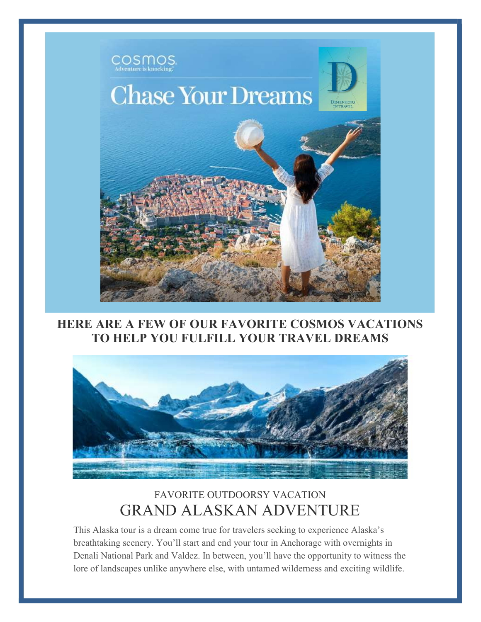

#### HERE ARE A FEW OF OUR FAVORITE COSMOS VACATIONS TO HELP YOU FULFILL YOUR TRAVEL DREAMS



### FAVORITE OUTDOORSY VACATION GRAND ALASKAN ADVENTURE

This Alaska tour is a dream come true for travelers seeking to experience Alaska's breathtaking scenery. You'll start and end your tour in Anchorage with overnights in Denali National Park and Valdez. In between, you'll have the opportunity to witness the lore of landscapes unlike anywhere else, with untamed wilderness and exciting wildlife.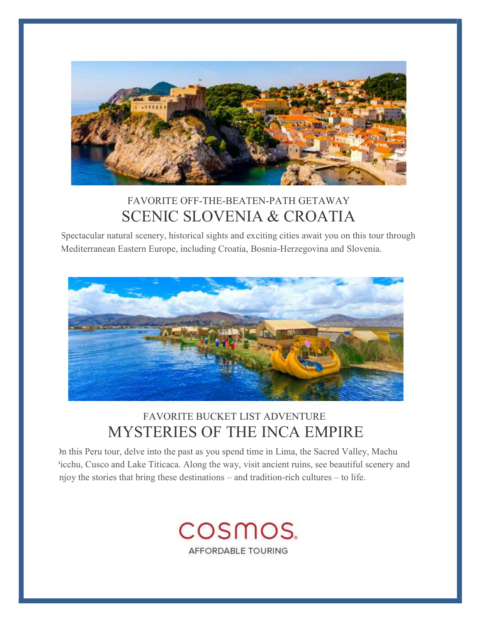

# FAVORITE OFF-THE-BEATEN-PATH GETAWAY SCENIC SLOVENIA & CROATIA

Spectacular natural scenery, historical sights and exciting cities await you on this tour through Mediterranean Eastern Europe, including Croatia, Bosnia-Herzegovina and Slovenia.



# FAVORITE BUCKET LIST ADVENTURE MYSTERIES OF THE INCA EMPIRE

On this Peru tour, delve into the past as you spend time in Lima, the Sacred Valley, Machu Picchu, Cusco and Lake Titicaca. Along the way, visit ancient ruins, see beautiful scenery and njoy the stories that bring these destinations – and tradition-rich cultures – to life.